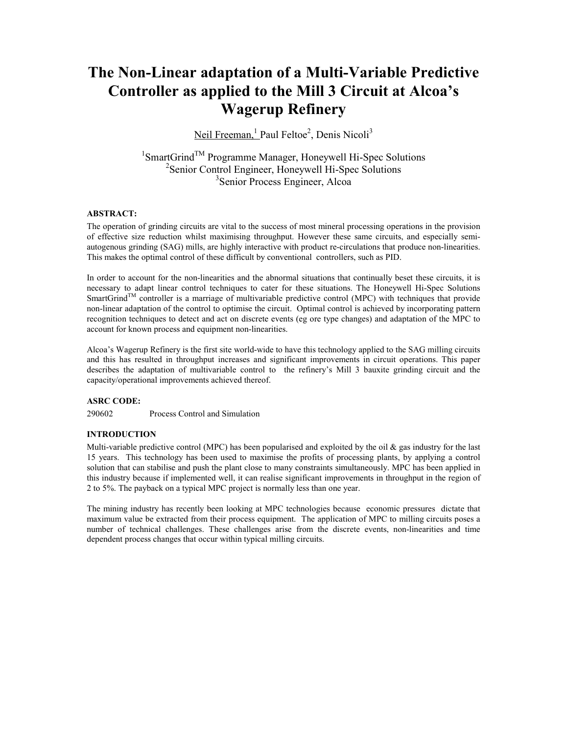# The Non-Linear adaptation of a Multi-Variable Predictive Controller as applied to the Mill 3 Circuit at Alcoa's Wagerup Refinery

Neil Freeman, <sup>1</sup> Paul Feltoe<sup>2</sup>, Denis Nicoli<sup>3</sup>

<sup>1</sup>SmartGrind<sup>™</sup> Programme Manager, Honeywell Hi-Spec Solutions 2 Senior Control Engineer, Honeywell Hi-Spec Solutions 3 Senior Process Engineer, Alcoa

# ABSTRACT:

The operation of grinding circuits are vital to the success of most mineral processing operations in the provision of effective size reduction whilst maximising throughput. However these same circuits, and especially semiautogenous grinding (SAG) mills, are highly interactive with product re-circulations that produce non-linearities. This makes the optimal control of these difficult by conventional controllers, such as PID.

In order to account for the non-linearities and the abnormal situations that continually beset these circuits, it is necessary to adapt linear control techniques to cater for these situations. The Honeywell Hi-Spec Solutions SmartGrind<sup>TM</sup> controller is a marriage of multivariable predictive control (MPC) with techniques that provide non-linear adaptation of the control to optimise the circuit. Optimal control is achieved by incorporating pattern recognition techniques to detect and act on discrete events (eg ore type changes) and adaptation of the MPC to account for known process and equipment non-linearities.

Alcoa's Wagerup Refinery is the first site world-wide to have this technology applied to the SAG milling circuits and this has resulted in throughput increases and significant improvements in circuit operations. This paper describes the adaptation of multivariable control to the refinery's Mill 3 bauxite grinding circuit and the capacity/operational improvements achieved thereof.

# ASRC CODE:

290602 Process Control and Simulation

# **INTRODUCTION**

Multi-variable predictive control (MPC) has been popularised and exploited by the oil  $\&$  gas industry for the last 15 years. This technology has been used to maximise the profits of processing plants, by applying a control solution that can stabilise and push the plant close to many constraints simultaneously. MPC has been applied in this industry because if implemented well, it can realise significant improvements in throughput in the region of 2 to 5%. The payback on a typical MPC project is normally less than one year.

The mining industry has recently been looking at MPC technologies because economic pressures dictate that maximum value be extracted from their process equipment. The application of MPC to milling circuits poses a number of technical challenges. These challenges arise from the discrete events, non-linearities and time dependent process changes that occur within typical milling circuits.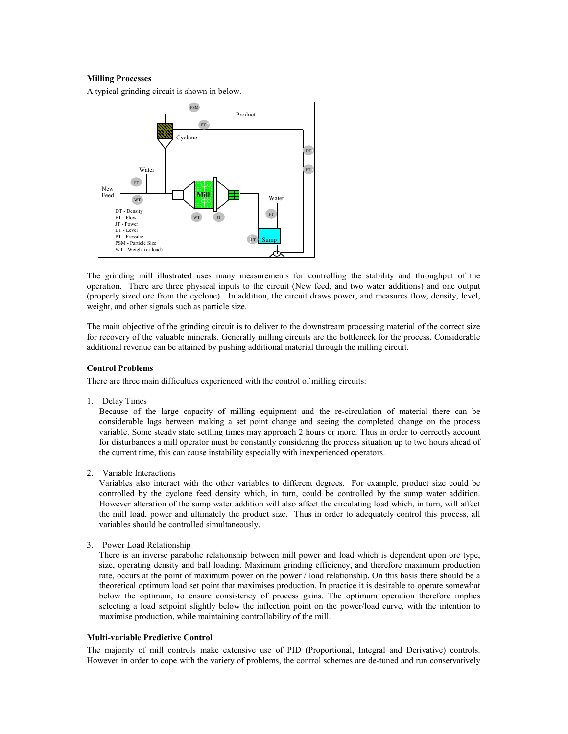# Milling Processes

A typical grinding circuit is shown in below.



The grinding mill illustrated uses many measurements for controlling the stability and throughput of the operation. There are three physical inputs to the circuit (New feed, and two water additions) and one output (properly sized ore from the cyclone). In addition, the circuit draws power, and measures flow, density, level, weight, and other signals such as particle size.

The main objective of the grinding circuit is to deliver to the downstream processing material of the correct size for recovery of the valuable minerals. Generally milling circuits are the bottleneck for the process. Considerable additional revenue can be attained by pushing additional material through the milling circuit.

### Control Problems

There are three main difficulties experienced with the control of milling circuits:

1. Delay Times

 Because of the large capacity of milling equipment and the re-circulation of material there can be considerable lags between making a set point change and seeing the completed change on the process variable. Some steady state settling times may approach 2 hours or more. Thus in order to correctly account for disturbances a mill operator must be constantly considering the process situation up to two hours ahead of the current time, this can cause instability especially with inexperienced operators.

2. Variable Interactions

 Variables also interact with the other variables to different degrees. For example, product size could be controlled by the cyclone feed density which, in turn, could be controlled by the sump water addition. However alteration of the sump water addition will also affect the circulating load which, in turn, will affect the mill load, power and ultimately the product size. Thus in order to adequately control this process, all variables should be controlled simultaneously.

3. Power Load Relationship

 There is an inverse parabolic relationship between mill power and load which is dependent upon ore type, size, operating density and ball loading. Maximum grinding efficiency, and therefore maximum production rate, occurs at the point of maximum power on the power / load relationship. On this basis there should be a theoretical optimum load set point that maximises production. In practice it is desirable to operate somewhat below the optimum, to ensure consistency of process gains. The optimum operation therefore implies selecting a load setpoint slightly below the inflection point on the power/load curve, with the intention to maximise production, while maintaining controllability of the mill.

#### Multi-variable Predictive Control

The majority of mill controls make extensive use of PID (Proportional, Integral and Derivative) controls. However in order to cope with the variety of problems, the control schemes are de-tuned and run conservatively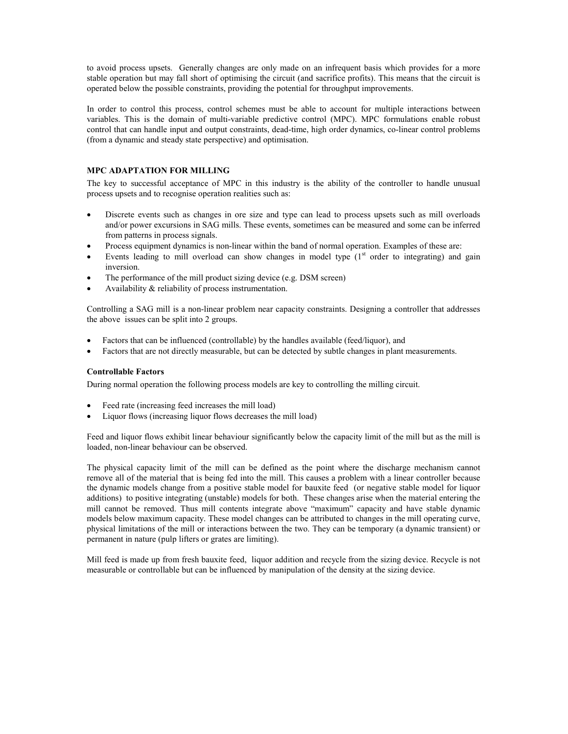to avoid process upsets. Generally changes are only made on an infrequent basis which provides for a more stable operation but may fall short of optimising the circuit (and sacrifice profits). This means that the circuit is operated below the possible constraints, providing the potential for throughput improvements.

In order to control this process, control schemes must be able to account for multiple interactions between variables. This is the domain of multi-variable predictive control (MPC). MPC formulations enable robust control that can handle input and output constraints, dead-time, high order dynamics, co-linear control problems (from a dynamic and steady state perspective) and optimisation.

# MPC ADAPTATION FOR MILLING

The key to successful acceptance of MPC in this industry is the ability of the controller to handle unusual process upsets and to recognise operation realities such as:

- Discrete events such as changes in ore size and type can lead to process upsets such as mill overloads and/or power excursions in SAG mills. These events, sometimes can be measured and some can be inferred from patterns in process signals.
- Process equipment dynamics is non-linear within the band of normal operation. Examples of these are:
- Events leading to mill overload can show changes in model type  $(1<sup>st</sup>$  order to integrating) and gain inversion.
- The performance of the mill product sizing device (e.g. DSM screen)
- Availability & reliability of process instrumentation.

Controlling a SAG mill is a non-linear problem near capacity constraints. Designing a controller that addresses the above issues can be split into 2 groups.

- Factors that can be influenced (controllable) by the handles available (feed/liquor), and
- Factors that are not directly measurable, but can be detected by subtle changes in plant measurements.

# Controllable Factors

During normal operation the following process models are key to controlling the milling circuit.

- Feed rate (increasing feed increases the mill load)
- Liquor flows (increasing liquor flows decreases the mill load)

Feed and liquor flows exhibit linear behaviour significantly below the capacity limit of the mill but as the mill is loaded, non-linear behaviour can be observed.

The physical capacity limit of the mill can be defined as the point where the discharge mechanism cannot remove all of the material that is being fed into the mill. This causes a problem with a linear controller because the dynamic models change from a positive stable model for bauxite feed (or negative stable model for liquor additions) to positive integrating (unstable) models for both. These changes arise when the material entering the mill cannot be removed. Thus mill contents integrate above "maximum" capacity and have stable dynamic models below maximum capacity. These model changes can be attributed to changes in the mill operating curve, physical limitations of the mill or interactions between the two. They can be temporary (a dynamic transient) or permanent in nature (pulp lifters or grates are limiting).

Mill feed is made up from fresh bauxite feed, liquor addition and recycle from the sizing device. Recycle is not measurable or controllable but can be influenced by manipulation of the density at the sizing device.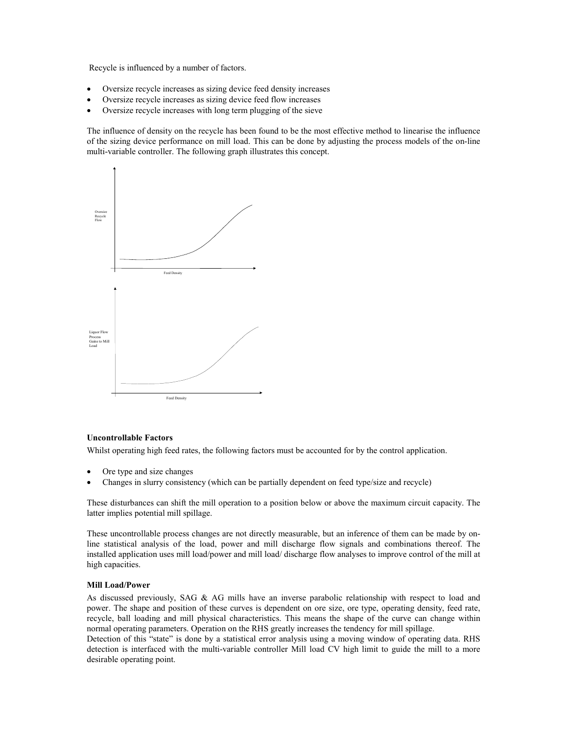Recycle is influenced by a number of factors.

- Oversize recycle increases as sizing device feed density increases
- Oversize recycle increases as sizing device feed flow increases
- Oversize recycle increases with long term plugging of the sieve

The influence of density on the recycle has been found to be the most effective method to linearise the influence of the sizing device performance on mill load. This can be done by adjusting the process models of the on-line multi-variable controller. The following graph illustrates this concept.



#### Uncontrollable Factors

Whilst operating high feed rates, the following factors must be accounted for by the control application.

- Ore type and size changes
- Changes in slurry consistency (which can be partially dependent on feed type/size and recycle)

These disturbances can shift the mill operation to a position below or above the maximum circuit capacity. The latter implies potential mill spillage.

These uncontrollable process changes are not directly measurable, but an inference of them can be made by online statistical analysis of the load, power and mill discharge flow signals and combinations thereof. The installed application uses mill load/power and mill load/ discharge flow analyses to improve control of the mill at high capacities.

#### Mill Load/Power

As discussed previously, SAG & AG mills have an inverse parabolic relationship with respect to load and power. The shape and position of these curves is dependent on ore size, ore type, operating density, feed rate, recycle, ball loading and mill physical characteristics. This means the shape of the curve can change within normal operating parameters. Operation on the RHS greatly increases the tendency for mill spillage.

Detection of this "state" is done by a statistical error analysis using a moving window of operating data. RHS detection is interfaced with the multi-variable controller Mill load CV high limit to guide the mill to a more desirable operating point.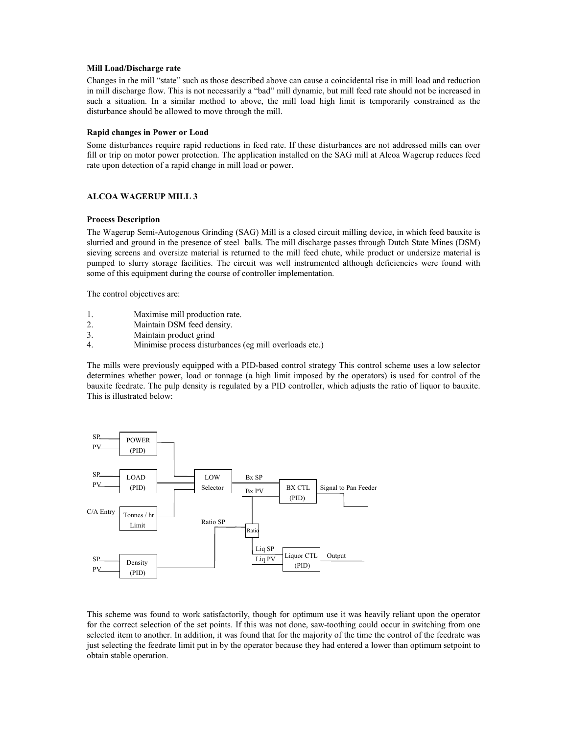#### Mill Load/Discharge rate

Changes in the mill "state" such as those described above can cause a coincidental rise in mill load and reduction in mill discharge flow. This is not necessarily a "bad" mill dynamic, but mill feed rate should not be increased in such a situation. In a similar method to above, the mill load high limit is temporarily constrained as the disturbance should be allowed to move through the mill.

#### Rapid changes in Power or Load

Some disturbances require rapid reductions in feed rate. If these disturbances are not addressed mills can over fill or trip on motor power protection. The application installed on the SAG mill at Alcoa Wagerup reduces feed rate upon detection of a rapid change in mill load or power.

# ALCOA WAGERUP MILL 3

#### Process Description

The Wagerup Semi-Autogenous Grinding (SAG) Mill is a closed circuit milling device, in which feed bauxite is slurried and ground in the presence of steel balls. The mill discharge passes through Dutch State Mines (DSM) sieving screens and oversize material is returned to the mill feed chute, while product or undersize material is pumped to slurry storage facilities. The circuit was well instrumented although deficiencies were found with some of this equipment during the course of controller implementation.

The control objectives are:

- 1. Maximise mill production rate.
- 2. Maintain DSM feed density.
- 3. Maintain product grind
- 4. Minimise process disturbances (eg mill overloads etc.)

The mills were previously equipped with a PID-based control strategy This control scheme uses a low selector determines whether power, load or tonnage (a high limit imposed by the operators) is used for control of the bauxite feedrate. The pulp density is regulated by a PID controller, which adjusts the ratio of liquor to bauxite. This is illustrated below:



This scheme was found to work satisfactorily, though for optimum use it was heavily reliant upon the operator for the correct selection of the set points. If this was not done, saw-toothing could occur in switching from one selected item to another. In addition, it was found that for the majority of the time the control of the feedrate was just selecting the feedrate limit put in by the operator because they had entered a lower than optimum setpoint to obtain stable operation.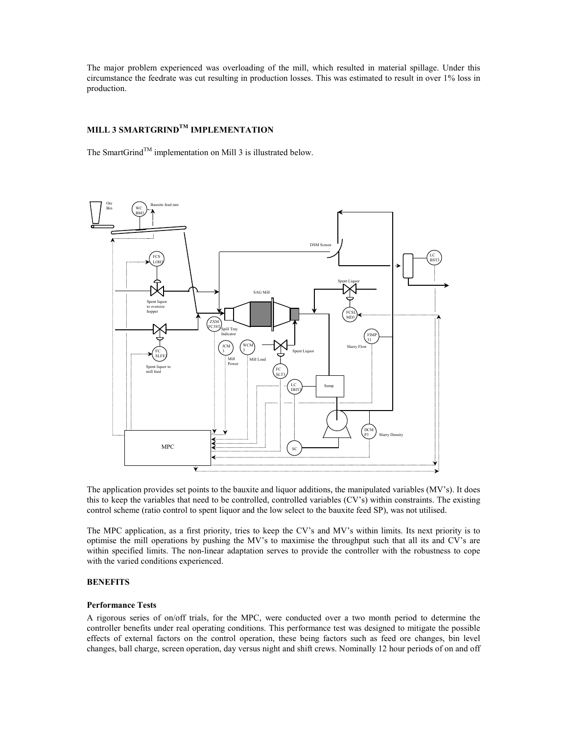The major problem experienced was overloading of the mill, which resulted in material spillage. Under this circumstance the feedrate was cut resulting in production losses. This was estimated to result in over 1% loss in production.

# MILL 3 SMARTGRIND $^{TM}$  IMPLEMENTATION

The SmartGrind<sup>TM</sup> implementation on Mill 3 is illustrated below.



The application provides set points to the bauxite and liquor additions, the manipulated variables (MV's). It does this to keep the variables that need to be controlled, controlled variables (CV's) within constraints. The existing control scheme (ratio control to spent liquor and the low select to the bauxite feed SP), was not utilised.

The MPC application, as a first priority, tries to keep the CV's and MV's within limits. Its next priority is to optimise the mill operations by pushing the MV's to maximise the throughput such that all its and CV's are within specified limits. The non-linear adaptation serves to provide the controller with the robustness to cope with the varied conditions experienced.

# **BENEFITS**

#### Performance Tests

A rigorous series of on/off trials, for the MPC, were conducted over a two month period to determine the controller benefits under real operating conditions. This performance test was designed to mitigate the possible effects of external factors on the control operation, these being factors such as feed ore changes, bin level changes, ball charge, screen operation, day versus night and shift crews. Nominally 12 hour periods of on and off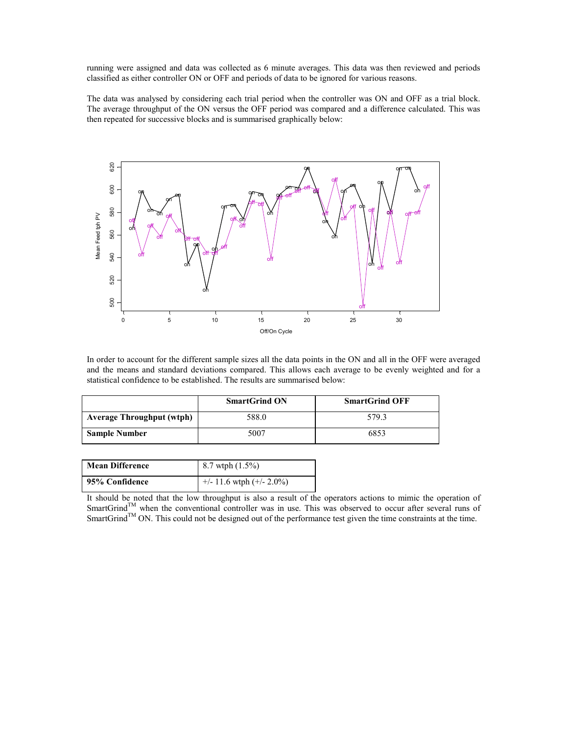running were assigned and data was collected as 6 minute averages. This data was then reviewed and periods classified as either controller ON or OFF and periods of data to be ignored for various reasons.

The data was analysed by considering each trial period when the controller was ON and OFF as a trial block. The average throughput of the ON versus the OFF period was compared and a difference calculated. This was then repeated for successive blocks and is summarised graphically below:



In order to account for the different sample sizes all the data points in the ON and all in the OFF were averaged and the means and standard deviations compared. This allows each average to be evenly weighted and for a statistical confidence to be established. The results are summarised below:

|                                  | <b>SmartGrind ON</b> | <b>SmartGrind OFF</b> |
|----------------------------------|----------------------|-----------------------|
| <b>Average Throughput (wtph)</b> | 588.0                | 579.3                 |
| <b>Sample Number</b>             | 5007                 | 6853                  |

| <b>Mean Difference</b> | 8.7 wtph (1.5%)               |
|------------------------|-------------------------------|
| 95% Confidence         | $+/- 11.6$ wtph $(+/- 2.0\%)$ |

It should be noted that the low throughput is also a result of the operators actions to mimic the operation of SmartGrind<sup>TM</sup> when the conventional controller was in use. This was observed to occur after several runs of SmartGrind<sup>TM</sup> ON. This could not be designed out of the performance test given the time constraints at the time.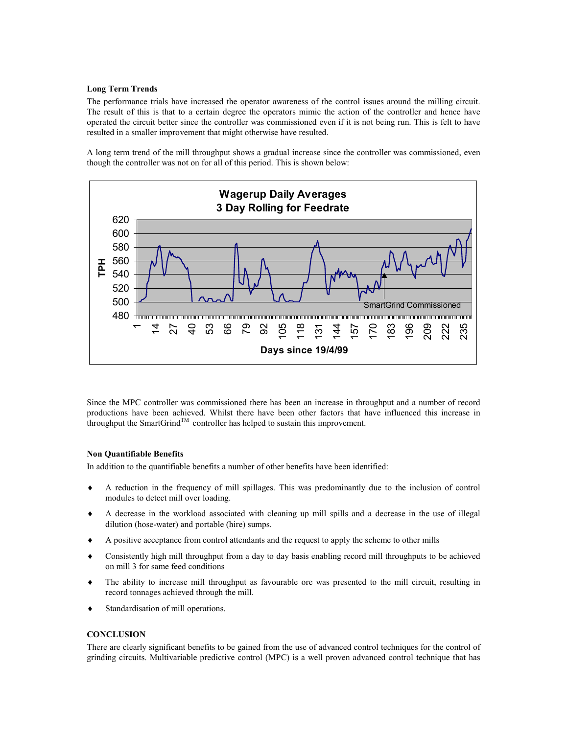#### Long Term Trends

The performance trials have increased the operator awareness of the control issues around the milling circuit. The result of this is that to a certain degree the operators mimic the action of the controller and hence have operated the circuit better since the controller was commissioned even if it is not being run. This is felt to have resulted in a smaller improvement that might otherwise have resulted.

A long term trend of the mill throughput shows a gradual increase since the controller was commissioned, even though the controller was not on for all of this period. This is shown below:



Since the MPC controller was commissioned there has been an increase in throughput and a number of record productions have been achieved. Whilst there have been other factors that have influenced this increase in throughput the SmartGrind<sup>TM</sup> controller has helped to sustain this improvement.

# Non Quantifiable Benefits

In addition to the quantifiable benefits a number of other benefits have been identified:

- ♦ A reduction in the frequency of mill spillages. This was predominantly due to the inclusion of control modules to detect mill over loading.
- ♦ A decrease in the workload associated with cleaning up mill spills and a decrease in the use of illegal dilution (hose-water) and portable (hire) sumps.
- A positive acceptance from control attendants and the request to apply the scheme to other mills
- ♦ Consistently high mill throughput from a day to day basis enabling record mill throughputs to be achieved on mill 3 for same feed conditions
- ♦ The ability to increase mill throughput as favourable ore was presented to the mill circuit, resulting in record tonnages achieved through the mill.
- Standardisation of mill operations.

# **CONCLUSION**

There are clearly significant benefits to be gained from the use of advanced control techniques for the control of grinding circuits. Multivariable predictive control (MPC) is a well proven advanced control technique that has